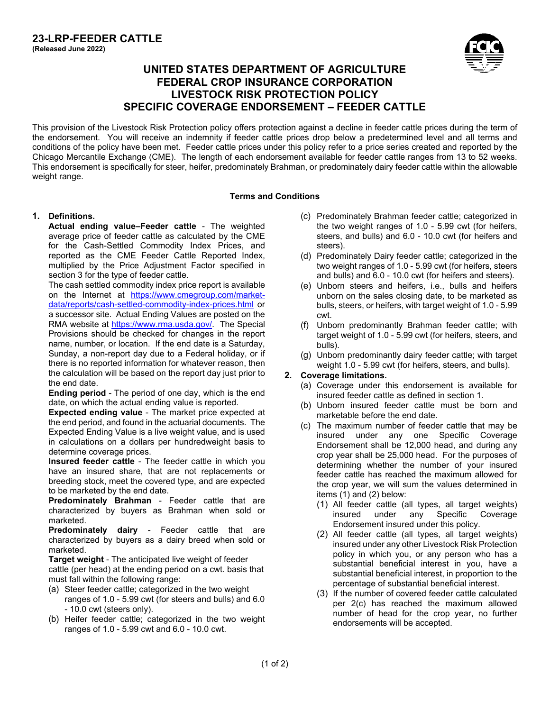

# **UNITED STATES DEPARTMENT OF AGRICULTURE FEDERAL CROP INSURANCE CORPORATION LIVESTOCK RISK PROTECTION POLICY SPECIFIC COVERAGE ENDORSEMENT – FEEDER CATTLE**

This provision of the Livestock Risk Protection policy offers protection against a decline in feeder cattle prices during the term of the endorsement. You will receive an indemnity if feeder cattle prices drop below a predetermined level and all terms and conditions of the policy have been met. Feeder cattle prices under this policy refer to a price series created and reported by the Chicago Mercantile Exchange (CME). The length of each endorsement available for feeder cattle ranges from 13 to 52 weeks. This endorsement is specifically for steer, heifer, predominately Brahman, or predominately dairy feeder cattle within the allowable weight range.

### **Terms and Conditions**

### **1. Definitions.**

**Actual ending value–Feeder cattle** - The weighted average price of feeder cattle as calculated by the CME for the Cash-Settled Commodity Index Prices, and reported as the CME Feeder Cattle Reported Index, multiplied by the Price Adjustment Factor specified in section 3 for the type of feeder cattle.

The cash settled commodity index price report is available on the Internet at [https://www.cmegroup.com/market](https://www.cmegroup.com/market-data/reports/cash-settled-commodity-index-prices.html)[data/reports/cash-settled-commodity-index-prices.html](https://www.cmegroup.com/market-data/reports/cash-settled-commodity-index-prices.html) or a successor site. Actual Ending Values are posted on the RMA website at [https://www.rma.usda.gov/.](https://www.rma.usda.gov/) The Special Provisions should be checked for changes in the report name, number, or location. If the end date is a Saturday, Sunday, a non-report day due to a Federal holiday, or if there is no reported information for whatever reason, then the calculation will be based on the report day just prior to the end date.

**Ending period** - The period of one day, which is the end date, on which the actual ending value is reported.

**Expected ending value** - The market price expected at the end period, and found in the actuarial documents. The Expected Ending Value is a live weight value, and is used in calculations on a dollars per hundredweight basis to determine coverage prices.

**Insured feeder cattle** - The feeder cattle in which you have an insured share, that are not replacements or breeding stock, meet the covered type, and are expected to be marketed by the end date.

**Predominately Brahman** - Feeder cattle that are characterized by buyers as Brahman when sold or marketed.

**Predominately dairy** - Feeder cattle that are characterized by buyers as a dairy breed when sold or marketed.

**Target weight** - The anticipated live weight of feeder cattle (per head) at the ending period on a cwt. basis that must fall within the following range:

- (a) Steer feeder cattle; categorized in the two weight ranges of 1.0 - 5.99 cwt (for steers and bulls) and 6.0 - 10.0 cwt (steers only).
- (b) Heifer feeder cattle; categorized in the two weight ranges of 1.0 - 5.99 cwt and 6.0 - 10.0 cwt.
- (c) Predominately Brahman feeder cattle; categorized in the two weight ranges of 1.0 - 5.99 cwt (for heifers, steers, and bulls) and 6.0 - 10.0 cwt (for heifers and steers).
- (d) Predominately Dairy feeder cattle; categorized in the two weight ranges of 1.0 - 5.99 cwt (for heifers, steers and bulls) and 6.0 - 10.0 cwt (for heifers and steers).
- (e) Unborn steers and heifers, i.e., bulls and heifers unborn on the sales closing date, to be marketed as bulls, steers, or heifers, with target weight of 1.0 - 5.99 cwt.
- (f) Unborn predominantly Brahman feeder cattle; with target weight of 1.0 - 5.99 cwt (for heifers, steers, and bulls).
- (g) Unborn predominantly dairy feeder cattle; with target weight 1.0 - 5.99 cwt (for heifers, steers, and bulls).

## **2. Coverage limitations.**

- (a) Coverage under this endorsement is available for insured feeder cattle as defined in section 1.
- (b) Unborn insured feeder cattle must be born and marketable before the end date.
- <span id="page-0-0"></span>(c) The maximum number of feeder cattle that may be insured under any one Specific Coverage Endorsement shall be 12,000 head, and during any crop year shall be 25,000 head. For the purposes of determining whether the number of your insured feeder cattle has reached the maximum allowed for the crop year, we will sum the values determined in items (1) and (2) below:
	- (1) All feeder cattle (all types, all target weights) insured under any Specific Coverage Endorsement insured under this policy.
	- (2) All feeder cattle (all types, all target weights) insured under any other Livestock Risk Protection policy in which you, or any person who has a substantial beneficial interest in you, have a substantial beneficial interest, in proportion to the percentage of substantial beneficial interest.
	- (3) If the number of covered feeder cattle calculated per [2\(c\)](#page-0-0) has reached the maximum allowed number of head for the crop year, no further endorsements will be accepted.